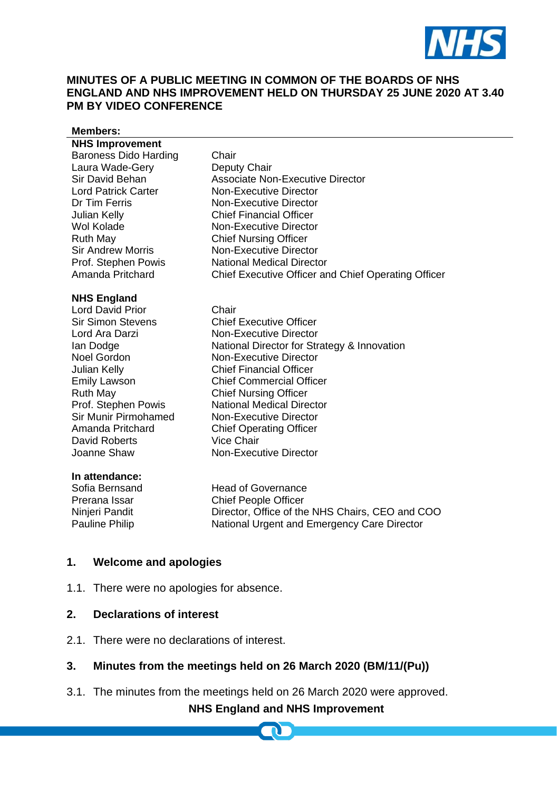

### **MINUTES OF A PUBLIC MEETING IN COMMON OF THE BOARDS OF NHS ENGLAND AND NHS IMPROVEMENT HELD ON THURSDAY 25 JUNE 2020 AT 3.40 PM BY VIDEO CONFERENCE**

#### **Members:**

| <b>NHS Improvement</b>       |                                                     |
|------------------------------|-----------------------------------------------------|
| <b>Baroness Dido Harding</b> | Chair                                               |
| Laura Wade-Gery              | Deputy Chair                                        |
| Sir David Behan              | <b>Associate Non-Executive Director</b>             |
| <b>Lord Patrick Carter</b>   | Non-Executive Director                              |
| Dr Tim Ferris                | <b>Non-Executive Director</b>                       |
| <b>Julian Kelly</b>          | <b>Chief Financial Officer</b>                      |
| Wol Kolade                   | <b>Non-Executive Director</b>                       |
| <b>Ruth May</b>              | <b>Chief Nursing Officer</b>                        |
| <b>Sir Andrew Morris</b>     | <b>Non-Executive Director</b>                       |
| Prof. Stephen Powis          | <b>National Medical Director</b>                    |
| Amanda Pritchard             | Chief Executive Officer and Chief Operating Officer |
|                              |                                                     |

#### **NHS England**

Lord David Prior Chair Sir Simon Stevens<br>
Lord Ara Darzi **Chief Executive Officer**<br>
Non-Executive Director **Non-Executive Director** Ian Dodge National Director for Strategy & Innovation Noel Gordon Non-Executive Director Julian Kelly Chief Financial Officer Emily Lawson Chief Commercial Officer Ruth May Chief Nursing Officer Prof. Stephen Powis National Medical Director<br>
Sir Munir Pirmohamed Non-Executive Director Sir Munir Pirmohamed<br>
Amanda Pritchard<br>
Chief Operating Officer **Chief Operating Officer** David Roberts Vice Chair Joanne Shaw Non-Executive Director

#### **In attendance:**

Sofia Bernsand Head of Governance Prerana Issar Chief People Officer Ninjeri Pandit Director, Office of the NHS Chairs, CEO and COO Pauline Philip National Urgent and Emergency Care Director

#### **1. Welcome and apologies**

1.1. There were no apologies for absence.

### **2. Declarations of interest**

2.1. There were no declarations of interest.

### **3. Minutes from the meetings held on 26 March 2020 (BM/11/(Pu))**

3.1. The minutes from the meetings held on 26 March 2020 were approved.

**NHS England and NHS Improvement**

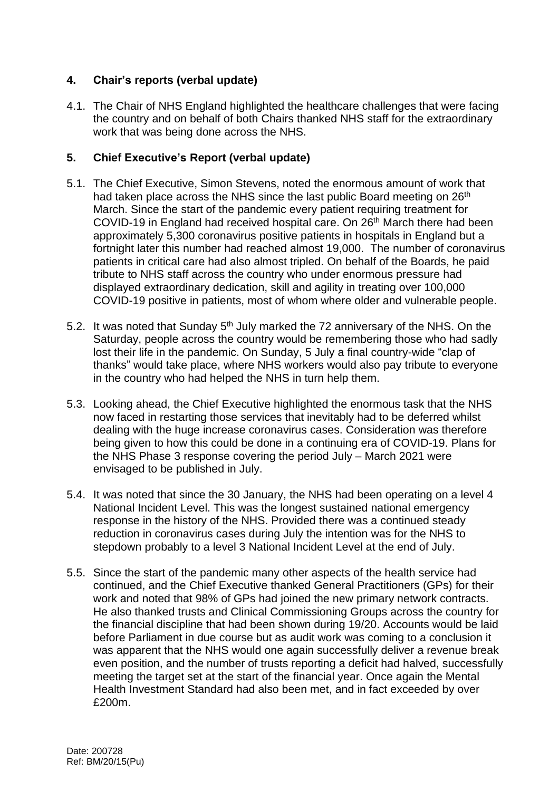# **4. Chair's reports (verbal update)**

4.1. The Chair of NHS England highlighted the healthcare challenges that were facing the country and on behalf of both Chairs thanked NHS staff for the extraordinary work that was being done across the NHS.

# **5. Chief Executive's Report (verbal update)**

- 5.1. The Chief Executive, Simon Stevens, noted the enormous amount of work that had taken place across the NHS since the last public Board meeting on 26<sup>th</sup> March. Since the start of the pandemic every patient requiring treatment for COVID-19 in England had received hospital care. On 26<sup>th</sup> March there had been approximately 5,300 coronavirus positive patients in hospitals in England but a fortnight later this number had reached almost 19,000. The number of coronavirus patients in critical care had also almost tripled. On behalf of the Boards, he paid tribute to NHS staff across the country who under enormous pressure had displayed extraordinary dedication, skill and agility in treating over 100,000 COVID-19 positive in patients, most of whom where older and vulnerable people.
- 5.2. It was noted that Sunday 5<sup>th</sup> July marked the 72 anniversary of the NHS. On the Saturday, people across the country would be remembering those who had sadly lost their life in the pandemic. On Sunday, 5 July a final country-wide "clap of thanks" would take place, where NHS workers would also pay tribute to everyone in the country who had helped the NHS in turn help them.
- 5.3. Looking ahead, the Chief Executive highlighted the enormous task that the NHS now faced in restarting those services that inevitably had to be deferred whilst dealing with the huge increase coronavirus cases. Consideration was therefore being given to how this could be done in a continuing era of COVID-19. Plans for the NHS Phase 3 response covering the period July – March 2021 were envisaged to be published in July.
- 5.4. It was noted that since the 30 January, the NHS had been operating on a level 4 National Incident Level. This was the longest sustained national emergency response in the history of the NHS. Provided there was a continued steady reduction in coronavirus cases during July the intention was for the NHS to stepdown probably to a level 3 National Incident Level at the end of July.
- 5.5. Since the start of the pandemic many other aspects of the health service had continued, and the Chief Executive thanked General Practitioners (GPs) for their work and noted that 98% of GPs had joined the new primary network contracts. He also thanked trusts and Clinical Commissioning Groups across the country for the financial discipline that had been shown during 19/20. Accounts would be laid before Parliament in due course but as audit work was coming to a conclusion it was apparent that the NHS would one again successfully deliver a revenue break even position, and the number of trusts reporting a deficit had halved, successfully meeting the target set at the start of the financial year. Once again the Mental Health Investment Standard had also been met, and in fact exceeded by over £200m.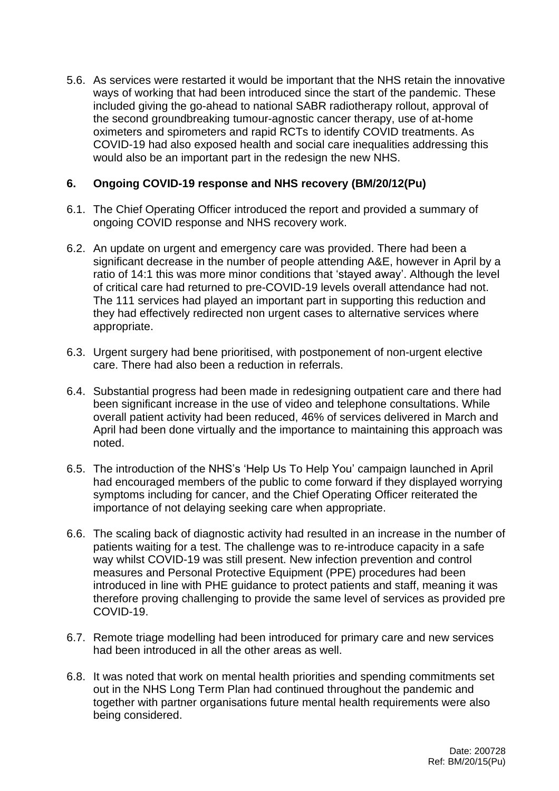5.6. As services were restarted it would be important that the NHS retain the innovative ways of working that had been introduced since the start of the pandemic. These included giving the go-ahead to national SABR radiotherapy rollout, approval of the second groundbreaking tumour-agnostic cancer therapy, use of at-home oximeters and spirometers and rapid RCTs to identify COVID treatments. As COVID-19 had also exposed health and social care inequalities addressing this would also be an important part in the redesign the new NHS.

### **6. Ongoing COVID-19 response and NHS recovery (BM/20/12(Pu)**

- 6.1. The Chief Operating Officer introduced the report and provided a summary of ongoing COVID response and NHS recovery work.
- 6.2. An update on urgent and emergency care was provided. There had been a significant decrease in the number of people attending A&E, however in April by a ratio of 14:1 this was more minor conditions that 'stayed away'. Although the level of critical care had returned to pre-COVID-19 levels overall attendance had not. The 111 services had played an important part in supporting this reduction and they had effectively redirected non urgent cases to alternative services where appropriate.
- 6.3. Urgent surgery had bene prioritised, with postponement of non-urgent elective care. There had also been a reduction in referrals.
- 6.4. Substantial progress had been made in redesigning outpatient care and there had been significant increase in the use of video and telephone consultations. While overall patient activity had been reduced, 46% of services delivered in March and April had been done virtually and the importance to maintaining this approach was noted.
- 6.5. The introduction of the NHS's 'Help Us To Help You' campaign launched in April had encouraged members of the public to come forward if they displayed worrying symptoms including for cancer, and the Chief Operating Officer reiterated the importance of not delaying seeking care when appropriate.
- 6.6. The scaling back of diagnostic activity had resulted in an increase in the number of patients waiting for a test. The challenge was to re-introduce capacity in a safe way whilst COVID-19 was still present. New infection prevention and control measures and Personal Protective Equipment (PPE) procedures had been introduced in line with PHE guidance to protect patients and staff, meaning it was therefore proving challenging to provide the same level of services as provided pre COVID-19.
- 6.7. Remote triage modelling had been introduced for primary care and new services had been introduced in all the other areas as well.
- 6.8. It was noted that work on mental health priorities and spending commitments set out in the NHS Long Term Plan had continued throughout the pandemic and together with partner organisations future mental health requirements were also being considered.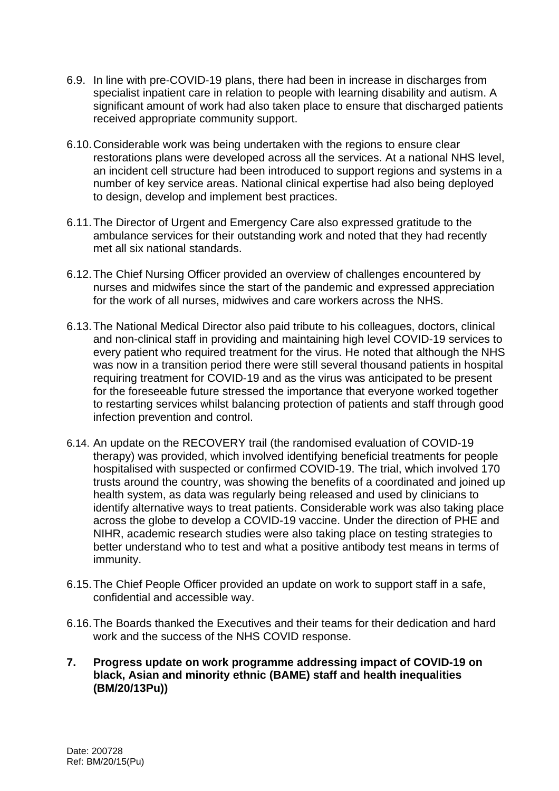- 6.9. In line with pre-COVID-19 plans, there had been in increase in discharges from specialist inpatient care in relation to people with learning disability and autism. A significant amount of work had also taken place to ensure that discharged patients received appropriate community support.
- 6.10.Considerable work was being undertaken with the regions to ensure clear restorations plans were developed across all the services. At a national NHS level, an incident cell structure had been introduced to support regions and systems in a number of key service areas. National clinical expertise had also being deployed to design, develop and implement best practices.
- 6.11.The Director of Urgent and Emergency Care also expressed gratitude to the ambulance services for their outstanding work and noted that they had recently met all six national standards.
- 6.12.The Chief Nursing Officer provided an overview of challenges encountered by nurses and midwifes since the start of the pandemic and expressed appreciation for the work of all nurses, midwives and care workers across the NHS.
- 6.13.The National Medical Director also paid tribute to his colleagues, doctors, clinical and non-clinical staff in providing and maintaining high level COVID-19 services to every patient who required treatment for the virus. He noted that although the NHS was now in a transition period there were still several thousand patients in hospital requiring treatment for COVID-19 and as the virus was anticipated to be present for the foreseeable future stressed the importance that everyone worked together to restarting services whilst balancing protection of patients and staff through good infection prevention and control.
- 6.14. An update on the RECOVERY trail (the randomised evaluation of COVID-19 therapy) was provided, which involved identifying beneficial treatments for people hospitalised with suspected or confirmed COVID-19. The trial, which involved 170 trusts around the country, was showing the benefits of a coordinated and joined up health system, as data was regularly being released and used by clinicians to identify alternative ways to treat patients. Considerable work was also taking place across the globe to develop a COVID-19 vaccine. Under the direction of PHE and NIHR, academic research studies were also taking place on testing strategies to better understand who to test and what a positive antibody test means in terms of immunity.
- 6.15.The Chief People Officer provided an update on work to support staff in a safe, confidential and accessible way.
- 6.16.The Boards thanked the Executives and their teams for their dedication and hard work and the success of the NHS COVID response.
- **7. Progress update on work programme addressing impact of COVID-19 on black, Asian and minority ethnic (BAME) staff and health inequalities (BM/20/13Pu))**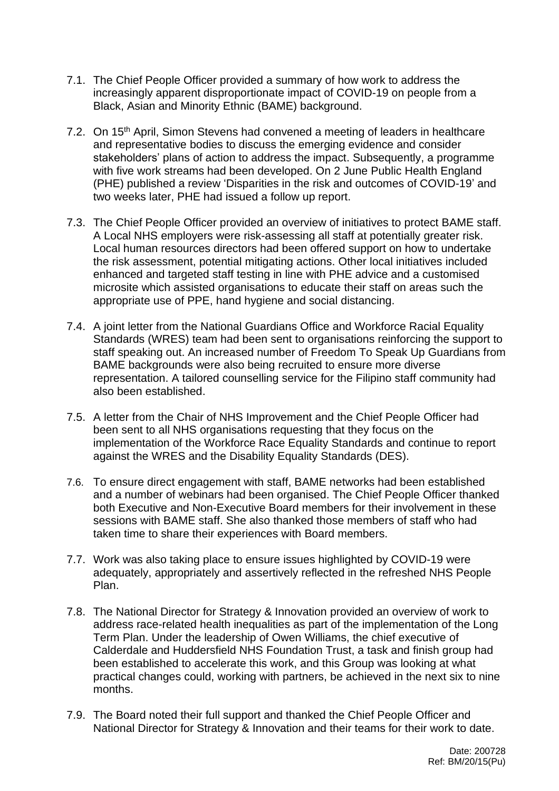- 7.1. The Chief People Officer provided a summary of how work to address the increasingly apparent disproportionate impact of COVID-19 on people from a Black, Asian and Minority Ethnic (BAME) background.
- 7.2. On 15<sup>th</sup> April, Simon Stevens had convened a meeting of leaders in healthcare and representative bodies to discuss the emerging evidence and consider stakeholders' plans of action to address the impact. Subsequently, a programme with five work streams had been developed. On 2 June Public Health England (PHE) published a review 'Disparities in the risk and outcomes of COVID-19' and two weeks later, PHE had issued a follow up report.
- 7.3. The Chief People Officer provided an overview of initiatives to protect BAME staff. A Local NHS employers were risk-assessing all staff at potentially greater risk. Local human resources directors had been offered support on how to undertake the risk assessment, potential mitigating actions. Other local initiatives included enhanced and targeted staff testing in line with PHE advice and a customised microsite which assisted organisations to educate their staff on areas such the appropriate use of PPE, hand hygiene and social distancing.
- 7.4. A joint letter from the National Guardians Office and Workforce Racial Equality Standards (WRES) team had been sent to organisations reinforcing the support to staff speaking out. An increased number of Freedom To Speak Up Guardians from BAME backgrounds were also being recruited to ensure more diverse representation. A tailored counselling service for the Filipino staff community had also been established.
- 7.5. A letter from the Chair of NHS Improvement and the Chief People Officer had been sent to all NHS organisations requesting that they focus on the implementation of the Workforce Race Equality Standards and continue to report against the WRES and the Disability Equality Standards (DES).
- 7.6. To ensure direct engagement with staff, BAME networks had been established and a number of webinars had been organised. The Chief People Officer thanked both Executive and Non-Executive Board members for their involvement in these sessions with BAME staff. She also thanked those members of staff who had taken time to share their experiences with Board members.
- 7.7. Work was also taking place to ensure issues highlighted by COVID-19 were adequately, appropriately and assertively reflected in the refreshed NHS People Plan.
- 7.8. The National Director for Strategy & Innovation provided an overview of work to address race-related health inequalities as part of the implementation of the Long Term Plan. Under the leadership of Owen Williams, the chief executive of Calderdale and Huddersfield NHS Foundation Trust, a task and finish group had been established to accelerate this work, and this Group was looking at what practical changes could, working with partners, be achieved in the next six to nine months.
- 7.9. The Board noted their full support and thanked the Chief People Officer and National Director for Strategy & Innovation and their teams for their work to date.